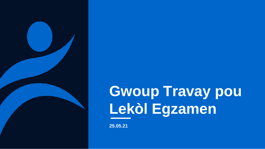

## Gwoup Travay pou Lekòl Egzamen

25.05.21